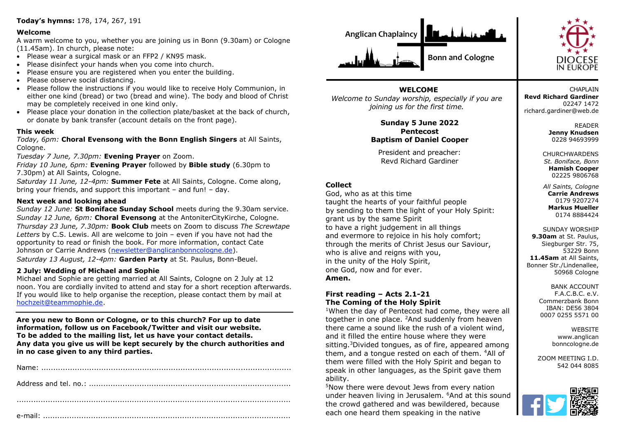# **Today's hymns:** 178, 174, 267, 191

#### **Welcome**

A warm welcome to you, whether you are joining us in Bonn (9.30am) or Cologne (11.45am). In church, please note:

- Please wear a surgical mask or an FFP2 / KN95 mask.
- Please disinfect your hands when you come into church.
- Please ensure you are registered when you enter the building.
- Please observe social distancing.
- Please follow the instructions if you would like to receive Holy Communion, in either one kind (bread) or two (bread and wine). The body and blood of Christ may be completely received in one kind only.
- Please place your donation in the collection plate/basket at the back of church, or donate by bank transfer (account details on the front page).

#### **This week**

*Today, 6pm:* **Choral Evensong with the Bonn English Singers** at All Saints, Cologne.

*Tuesday 7 June, 7.30pm:* **Evening Prayer** on Zoom.

*Friday 10 June, 6pm:* **Evening Prayer** followed by **Bible study** (6.30pm to 7.30pm) at All Saints, Cologne.

*Saturday 11 June, 12-4pm:* **Summer Fete** at All Saints, Cologne. Come along, bring your friends, and support this important – and fun! – day.

#### **Next week and looking ahead**

*Sunday 12 June:* **St Boniface Sunday School** meets during the 9.30am service. *Sunday 12 June, 6pm:* **Choral Evensong** at the AntoniterCityKirche, Cologne. *Thursday 23 June, 7.30pm:* **Book Club** meets on Zoom to discuss *The Screwtape Letters* by C.S. Lewis. All are welcome to join – even if you have not had the opportunity to read or finish the book. For more information, contact Cate Johnson or Carrie Andrews [\(newsletter@anglicanbonncologne.de\)](mailto:newsletter@anglicanbonncologne.de). *Saturday 13 August, 12-4pm:* **Garden Party** at St. Paulus, Bonn-Beuel.

## **2 July: Wedding of Michael and Sophie**

Michael and Sophie are getting married at All Saints, Cologne on 2 July at 12 noon. You are cordially invited to attend and stay for a short reception afterwards. If you would like to help organise the reception, please contact them by mail at [hochzeit@teammophie.de.](mailto:hochzeit@teammophie.de)

**Are you new to Bonn or Cologne, or to this church? For up to date information, follow us on Facebook/Twitter and visit our website. To be added to the mailing list, let us have your contact details. Any data you give us will be kept securely by the church authorities and in no case given to any third parties.**





**WELCOME** *Welcome to Sunday worship, especially if you are joining us for the first time.*

> **Sunday 5 June 2022 Pentecost Baptism of Daniel Cooper**

President and preacher: Revd Richard Gardiner

# **Collect**

God, who as at this time taught the hearts of your faithful people by sending to them the light of your Holy Spirit: grant us by the same Spirit to have a right judgement in all things and evermore to rejoice in his holy comfort; through the merits of Christ Jesus our Saviour, who is alive and reigns with you, in the unity of the Holy Spirit, one God, now and for ever. **Amen.**

## **First reading – Acts 2.1-21 The Coming of the Holy Spirit**

<sup>1</sup>When the day of Pentecost had come, they were all together in one place. <sup>2</sup>And suddenly from heaven there came a sound like the rush of a violent wind, and it filled the entire house where they were sitting.<sup>3</sup>Divided tongues, as of fire, appeared among them, and a tongue rested on each of them. <sup>4</sup>All of them were filled with the Holy Spirit and began to speak in other languages, as the Spirit gave them ability.

<sup>5</sup>Now there were devout Jews from every nation under heaven living in Jerusalem. <sup>6</sup>And at this sound the crowd gathered and was bewildered, because each one heard them speaking in the native

**CHAPI AIN Revd Richard Gardiner** 02247 1472 richard.gardiner@web.de

> READER **Jenny Knudsen** 0228 94693999

**CHURCHWARDENS** *St. Boniface, Bonn* **Hamish Cooper** 02225 9806768

*All Saints, Cologne* **Carrie Andrews** 0179 9207274 **Markus Mueller** 0174 8884424

SUNDAY WORSHIP **9.30am** at St. Paulus, Siegburger Str. 75, 53229 Bonn **11.45am** at All Saints, Bonner Str./Lindenallee, 50968 Cologne

> BANK ACCOUNT F.A.C.B.C. e.V. Commerzbank Bonn IBAN: DE56 3804 0007 0255 5571 00

> > **WEBSITE** www.anglican bonncologne.de

ZOOM MEETING I.D. 542 044 8085